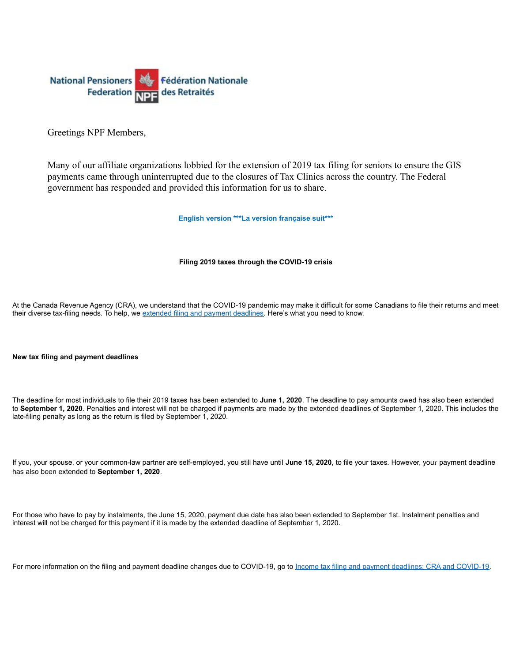

Greetings NPF Members,

Many of our affiliate organizations lobbied for the extension of 2019 tax filing for seniors to ensure the GIS payments came through uninterrupted due to the closures of Tax Clinics across the country. The Federal government has responded and provided this information for us to share.

**English version \*\*\*La version française suit\*\*\***

## **Filing 2019 taxes through the COVID-19 crisis**

At the Canada Revenue Agency (CRA), we understand that the COVID-19 pandemic may make it difficult for some Canadians to file their returns and meet their diverse tax-filing needs. To help, we [extended filing and payment deadlines.](https://www.canada.ca/en/revenue-agency/campaigns/covid-19-update/covid-19-filing-payment-dates.html?utm_source=stkhldrs&utm_medium=eml&utm_campaign=flngtxscvd19) Here's what you need to know.

## **New tax filing and payment deadlines**

The deadline for most individuals to file their 2019 taxes has been extended to **June 1, 2020**. The deadline to pay amounts owed has also been extended to **September 1, 2020**. Penalties and interest will not be charged if payments are made by the extended deadlines of September 1, 2020. This includes the late-filing penalty as long as the return is filed by September 1, 2020.

If you, your spouse, or your common-law partner are self-employed, you still have until **June 15, 2020**, to file your taxes. However, your payment deadline has also been extended to **September 1, 2020**.

For those who have to pay by instalments, the June 15, 2020, payment due date has also been extended to September 1st. Instalment penalties and interest will not be charged for this payment if it is made by the extended deadline of September 1, 2020.

For more information on the filing and payment deadline changes due to COVID-19, go to [Income tax filing and payment deadlines: CRA and COVID-19.](https://www.canada.ca/en/revenue-agency/campaigns/covid-19-update/covid-19-filing-payment-dates.html?utm_source=stkhldrs&utm_medium=eml&utm_campaign=flngtxscvd19)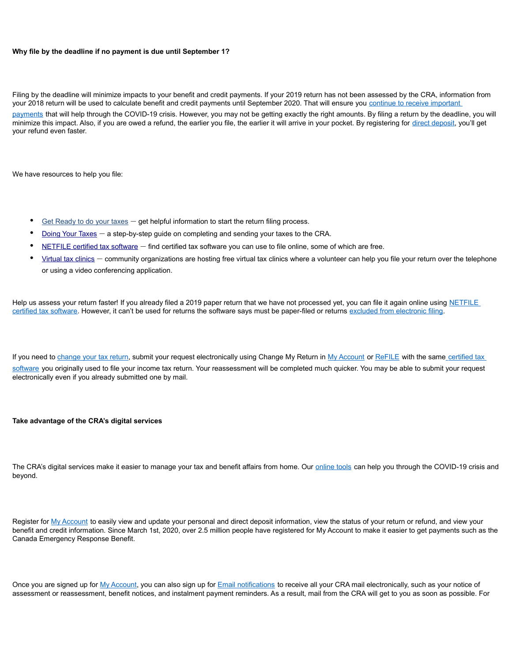## **Why file by the deadline if no payment is due until September 1?**

Filing by the deadline will minimize impacts to your benefit and credit payments. If your 2019 return has not been assessed by the CRA, information from your 2018 return will be used to calculate benefit and credit payments until September 2020. That will ensure you continue to receive important [payments](https://www.canada.ca/en/revenue-agency/news/2020/05/benefits-payments-for-eligible-canadians-to-continue-until-fall-2020.html?utm_source=stkhldrs&utm_medium=eml&utm_campaign=flngtxscvd19) that will help through the COVID-19 crisis. However, you may not be getting exactly the right amounts. By filing a return by the deadline, you will minimize this impact. Also, if you are owed a refund, the earlier you file, the earlier it will arrive in your pocket. By registering for [direct deposit,](http://www.canada.ca/cra-direct-deposit?utm_source=stkhldrs&utm_medium=eml&utm_campaign=flngtxscvd19) you'll get your refund even faster.

We have resources to help you file:

- [Get Ready to do your taxes](https://www.canada.ca/en/revenue-agency/campaigns/taxes-get-ready.html?utm_source=stkhldrs&utm_medium=eml&utm_campaign=flngtxscvd19) get helpful information to start the return filing process.
- [Doing Your Taxes](https://www.canada.ca/en/services/taxes/income-tax/personal-income-tax/doing-your-taxes.html?utm_source=stkhldrs&utm_medium=eml&utm_campaign=flngtxscvd19) a step-by-step guide on completing and sending your taxes to the CRA.
- [NETFILE certified tax software](https://www.canada.ca/en/revenue-agency/services/e-services/e-services-individuals/netfile-overview/certified-software-netfile-program.html?utm_source=stkhldrs&utm_medium=eml&utm_campaign=flngtxscvd19) find certified tax software you can use to file online, some of which are free.
- [Virtual tax clinics](https://www.canada.ca/en/revenue-agency/campaigns/covid-19-update/covid-19-outreach-liaison-officer-services/virtual-clinics.html?utm_source=stkhldrs&utm_medium=eml&utm_campaign=flngtxscvd19) community organizations are hosting free virtual tax clinics where a volunteer can help you file your return over the telephone or using a video conferencing application.

Help us assess your return faster! If you already filed a 2019 paper return that we have not processed yet, you can file it again online using NETFILE [certified tax software.](https://www.canada.ca/en/revenue-agency/services/e-services/e-services-individuals/netfile-overview/certified-software-netfile-program.html?utm_source=stkhldrs&utm_medium=eml&utm_campaign=flngtxscvd19) However, it can't be used for returns the software says must be paper-filed or returns [excluded from electronic filing.](https://www.canada.ca/en/revenue-agency/services/e-services/e-services-individuals/netfile-overview/eligibility.html?utm_source=stkhldrs&utm_medium=eml&utm_campaign=flngtxscvd19)

If you need to [change your tax return,](https://www.canada.ca/en/revenue-agency/services/tax/individuals/topics/about-your-tax-return/change-your-return.html?utm_source=stkhldrs&utm_medium=eml&utm_campaign=flngtxscvd19) submit your request electronically using Change My Return in [My Account](https://www.canada.ca/en/revenue-agency/services/e-services/e-services-individuals/account-individuals.html?utm_source=stkhldrs&utm_medium=eml&utm_campaign=flngtxscvd19) or [ReFILE](https://www.canada.ca/en/revenue-agency/services/e-services/e-services-businesses/refile-online-t1-adjustments-efile-service-providers.html?utm_source=stkhldrs&utm_medium=eml&utm_campaign=flngtxscvd19) with the same [certified tax](https://www.canada.ca/en/revenue-agency/services/e-services/e-services-individuals/netfile-overview/certified-software-netfile-program.html?utm_source=stkhldrs&utm_medium=eml&utm_campaign=flngtxscvd19)  [software](https://www.canada.ca/en/revenue-agency/services/e-services/e-services-individuals/netfile-overview/certified-software-netfile-program.html?utm_source=stkhldrs&utm_medium=eml&utm_campaign=flngtxscvd19) you originally used to file your income tax return. Your reassessment will be completed much quicker. You may be able to submit your request electronically even if you already submitted one by mail.

**Take advantage of the CRA's digital services**

The CRA's digital services make it easier to manage your tax and benefit affairs from home. Our [online tools](https://www.canada.ca/en/revenue-agency/services/e-services/e-services-individuals.html?utm_source=stkhldrs&utm_medium=eml&utm_campaign=flngtxscvd19) can help you through the COVID-19 crisis and beyond.

Register for [My Account](https://www.canada.ca/en/revenue-agency/services/e-services/e-services-individuals/account-individuals.html?utm_source=stkhldrs&utm_medium=eml&utm_campaign=flngtxscvd19) to easily view and update your personal and direct deposit information, view the status of your return or refund, and view your benefit and credit information. Since March 1st, 2020, over 2.5 million people have registered for My Account to make it easier to get payments such as the Canada Emergency Response Benefit.

Once you are signed up for [My Account,](https://www.canada.ca/en/revenue-agency/news/newsroom/tax-tips/tax-filing-season-media-kit/tfsmk-going-digital-makes-easy-taxes.html?utm_source=stkhldrs&utm_medium=eml&utm_campaign=flngtxscvd19) you can also sign up for [Email notifications](https://www.canada.ca/en/revenue-agency/services/e-services/e-services-individuals/online-mail-helping-you-organize-your-canada-revenue-agency-mail.html?utm_source=stkhldrs&utm_medium=eml&utm_campaign=flngtxscvd19) to receive all your CRA mail electronically, such as your notice of assessment or reassessment, benefit notices, and instalment payment reminders. As a result, mail from the CRA will get to you as soon as possible. For